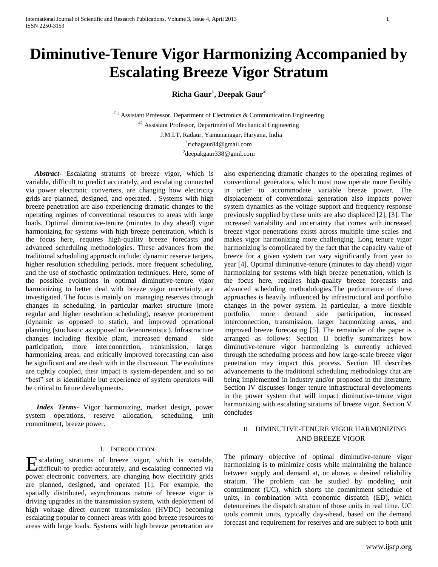# **Diminutive-Tenure Vigor Harmonizing Accompanied by Escalating Breeze Vigor Stratum**

**Richa Gaur<sup>1</sup> , Deepak Gaur<sup>2</sup>**

 $*$ <sup>1</sup> Assistant Professor, Department of Electronics & Communication Engineering  $*$ <sup>2</sup> Assistant Professor, Department of Mechanical Engineering J.M.I.T, Radaur, Yamunanagar, Haryana, India 1 richagaur84@gmail.com <sup>2</sup>deepakgaur338@gmil.com

 *Abstract***-** Escalating stratums of breeze vigor, which is variable, difficult to predict accurately, and escalating connected via power electronic converters, are changing how electricity grids are planned, designed, and operated. . Systems with high breeze penetration are also experiencing dramatic changes to the operating regimes of conventional resources to areas with large loads. Optimal diminutive-tenure (minutes to day ahead) vigor harmonizing for systems with high breeze penetration, which is the focus here, requires high-quality breeze forecasts and advanced scheduling methodologies. These advances from the traditional scheduling approach include: dynamic reserve targets, higher resolution scheduling periods, more frequent scheduling, and the use of stochastic optimization techniques. Here, some of the possible evolutions in optimal diminutive-tenure vigor harmonizing to better deal with breeze vigor uncertainty are investigated. The focus is mainly on managing reserves through changes in scheduling, in particular market structure (more regular and higher resolution scheduling), reserve procurement (dynamic as opposed to static), and improved operational planning (stochastic as opposed to detenureinistic). Infrastructure changes including flexible plant, increased demand side participation, more interconnection, transmission, larger harmonizing areas, and critically improved forecasting can also be significant and are dealt with in the discussion. The evolutions are tightly coupled, their impact is system-dependent and so no "best" set is identifiable but experience of system operators will be critical to future developments.

 *Index Terms*- Vigor harmonizing, market design, power system operations, reserve allocation, scheduling, unit commitment, breeze power.

### I. INTRODUCTION

Excalating stratums of breeze vigor, which is variable, difficult to predict accurately, and escalating connected via difficult to predict accurately, and escalating connected via power electronic converters, are changing how electricity grids are planned, designed, and operated [1]. For example, the spatially distributed, asynchronous nature of breeze vigor is driving upgrades in the transmission system, with deployment of high voltage direct current transmission (HVDC) becoming escalating popular to connect areas with good breeze resources to areas with large loads. Systems with high breeze penetration are

also experiencing dramatic changes to the operating regimes of conventional generators, which must now operate more flexibly in order to accommodate variable breeze power. The displacement of conventional generation also impacts power system dynamics as the voltage support and frequency response previously supplied by these units are also displaced [2], [3]. The increased variability and uncertainty that comes with increased breeze vigor penetrations exists across multiple time scales and makes vigor harmonizing more challenging. Long tenure vigor harmonizing is complicated by the fact that the capacity value of breeze for a given system can vary significantly from year to year [4]. Optimal diminutive-tenure (minutes to day ahead) vigor harmonizing for systems with high breeze penetration, which is the focus here, requires high-quality breeze forecasts and advanced scheduling methodologies.The performance of these approaches is heavily influenced by infrastructural and portfolio changes in the power system. In particular, a more flexible portfolio, more demand side participation, increased interconnection, transmission, larger harmonizing areas, and improved breeze forecasting [5]. The remainder of the paper is arranged as follows: Section II briefly summarizes how diminutive-tenure vigor harmonizing is currently achieved through the scheduling process and how large-scale breeze vigor penetration may impact this process. Section III describes advancements to the traditional scheduling methodology that are being implemented in industry and/or proposed in the literature. Section IV discusses longer tenure infrastructural developments in the power system that will impact diminutive-tenure vigor harmonizing with escalating stratums of breeze vigor. Section V concludes

## II. DIMINUTIVE-TENURE VIGOR HARMONIZING AND BREEZE VIGOR

The primary objective of optimal diminutive-tenure vigor harmonizing is to minimize costs while maintaining the balance between supply and demand at, or above, a desired reliability stratum. The problem can be studied by modeling unit commitment (UC), which shorts the commitment schedule of units, in combination with economic dispatch (ED), which detenureines the dispatch stratum of those units in real time. UC tools commit units, typically day-ahead, based on the demand forecast and requirement for reserves and are subject to both unit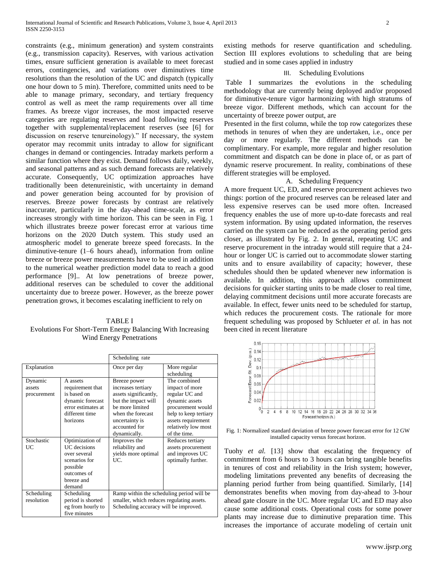constraints (e.g., minimum generation) and system constraints (e.g., transmission capacity). Reserves, with various activation times, ensure sufficient generation is available to meet forecast errors, contingencies, and variations over diminutives time resolutions than the resolution of the UC and dispatch (typically one hour down to 5 min). Therefore, committed units need to be able to manage primary, secondary, and tertiary frequency control as well as meet the ramp requirements over all time frames. As breeze vigor increases, the most impacted reserve categories are regulating reserves and load following reserves together with supplemental/replacement reserves (see [6] for discussion on reserve tenureinology)." If necessary, the system operator may recommit units intraday to allow for significant changes in demand or contingencies. Intraday markets perform a similar function where they exist. Demand follows daily, weekly, and seasonal patterns and as such demand forecasts are relatively accurate. Consequently, UC optimization approaches have traditionally been detenureinistic, with uncertainty in demand and power generation being accounted for by provision of reserves. Breeze power forecasts by contrast are relatively inaccurate, particularly in the day-ahead time-scale, as error increases strongly with time horizon. This can be seen in Fig. 1 which illustrates breeze power forecast error at various time horizons on the 2020 Dutch system. This study used an atmospheric model to generate breeze speed forecasts. In the diminutive-tenure (1–6 hours ahead), information from online breeze or breeze power measurements have to be used in addition to the numerical weather prediction model data to reach a good performance [9].. At low penetrations of breeze power, additional reserves can be scheduled to cover the additional uncertainty due to breeze power. However, as the breeze power penetration grows, it becomes escalating inefficient to rely on

## TABLE I Evolutions For Short-Term Energy Balancing With Increasing Wind Energy Penetrations

|                                  |                                                                                                                     | Scheduling rate                                                                                                                                                               |                                                                                                                                                                               |
|----------------------------------|---------------------------------------------------------------------------------------------------------------------|-------------------------------------------------------------------------------------------------------------------------------------------------------------------------------|-------------------------------------------------------------------------------------------------------------------------------------------------------------------------------|
| Explanation                      |                                                                                                                     | Once per day                                                                                                                                                                  | More regular<br>scheduling                                                                                                                                                    |
| Dynamic<br>assets<br>procurement | A assets<br>requirement that<br>is based on<br>dynamic forecast<br>error estimates at<br>different time<br>horizons | Breeze power<br>increases tertiary<br>assets significantly,<br>but the impact will<br>be more limited<br>when the forecast<br>uncertainty is<br>accounted for<br>dynamically. | The combined<br>impact of more<br>regular UC and<br>dynamic assets<br>procurement would<br>help to keep tertiary<br>assets requirement<br>relatively low most<br>of the time. |
| Stochastic<br>UC                 | Optimization of<br>UC decisions<br>over several<br>scenarios for<br>possible<br>outcomes of<br>breeze and<br>demand | Improves the<br>reliability and<br>yields more optimal<br>UC.                                                                                                                 | Reduces tertiary<br>assets procurement<br>and improves UC<br>optimally further.                                                                                               |
| Scheduling<br>resolution         | Scheduling<br>period is shorted<br>eg from hourly to<br>five minutes                                                | Ramp within the scheduling period will be<br>smaller, which reduces regulating assets.<br>Scheduling accuracy will be improved.                                               |                                                                                                                                                                               |

existing methods for reserve quantification and scheduling. Section III explores evolutions to scheduling that are being studied and in some cases applied in industry

#### III. Scheduling Evolutions

Table I summarizes the evolutions in the scheduling methodology that are currently being deployed and/or proposed for diminutive-tenure vigor harmonizing with high stratums of breeze vigor. Different methods, which can account for the uncertainty of breeze power output, are

Presented in the first column, while the top row categorizes these methods in tenures of when they are undertaken, i.e., once per day or more regularly. The different methods can be complimentary. For example, more regular and higher resolution commitment and dispatch can be done in place of, or as part of dynamic reserve procurement. In reality, combinations of these different strategies will be employed.

### A. Scheduling Frequency

A more frequent UC, ED, and reserve procurement achieves two things: portion of the procured reserves can be released later and less expensive reserves can be used more often. Increased frequency enables the use of more up-to-date forecasts and real system information. By using updated information, the reserves carried on the system can be reduced as the operating period gets closer, as illustrated by Fig. 2. In general, repeating UC and reserve procurement in the intraday would still require that a 24 hour or longer UC is carried out to accommodate slower starting units and to ensure availability of capacity; however, these schedules should then be updated whenever new information is available. In addition, this approach allows commitment decisions for quicker starting units to be made closer to real time, delaying commitment decisions until more accurate forecasts are available. In effect, fewer units need to be scheduled for startup, which reduces the procurement costs. The rationale for more frequent scheduling was proposed by Schlueter *et al.* in has not been cited in recent literature



Fig. 1: Normalized standard deviation of breeze power forecast error for 12 GW installed capacity versus forecast horizon.

Tuohy *et al.* [13] show that escalating the frequency of commitment from 6 hours to 3 hours can bring tangible benefits in tenures of cost and reliability in the Irish system; however, modeling limitations prevented any benefits of decreasing the planning period further from being quantified. Similarly, [14] demonstrates benefits when moving from day-ahead to 3-hour ahead gate closure in the UC. More regular UC and ED may also cause some additional costs. Operational costs for some power plants may increase due to diminutive preparation time. This increases the importance of accurate modeling of certain unit